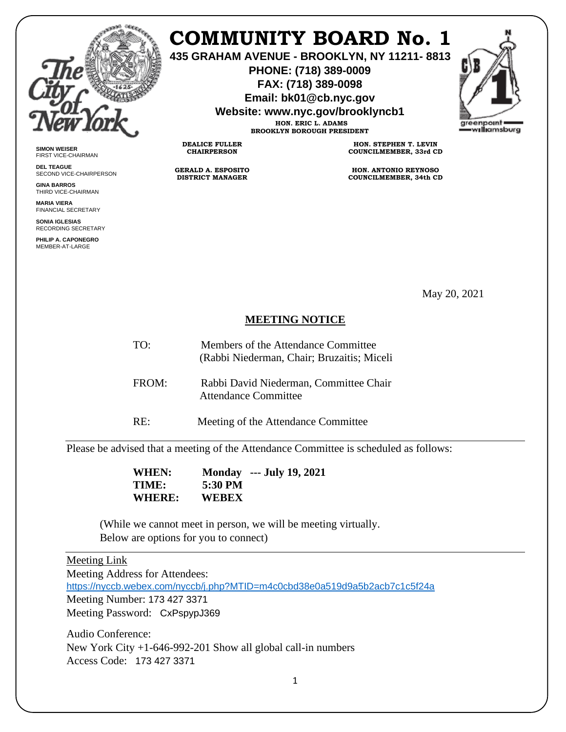

**SIMON WEISER** FIRST VICE-CHAIRMAN **DEL TEAGUE**

**GINA BARROS** THIRD VICE-CHAIRMAN **MARIA VIERA** FINANCIAL SECRETARY **SONIA IGLESIAS** RECORDING SECRETARY **PHILIP A. CAPONEGRO** MEMBER-AT-LARGE

SECOND VICE-CHAIRPERSON

## **COMMUNITY BOARD No. 1**

**435 GRAHAM AVENUE - BROOKLYN, NY 11211- 8813**

**PHONE: (718) 389-0009 FAX: (718) 389-0098**

**Email: bk01@cb.nyc.gov**

**Website: www.nyc.gov/brooklyncb1**



**HON. ERIC L. ADAMS BROOKLYN BOROUGH PRESIDENT**

**DEALICE FULLER CHAIRPERSON**

**GERALD A. ESPOSITO DISTRICT MANAGER**

**HON. STEPHEN T. LEVIN COUNCILMEMBER, 33rd CD**

**HON. ANTONIO REYNOSO COUNCILMEMBER, 34th CD**

May 20, 2021

## **MEETING NOTICE**

TO: Members of the Attendance Committee (Rabbi Niederman, Chair; Bruzaitis; Miceli

FROM: Rabbi David Niederman, Committee Chair Attendance Committee

RE: Meeting of the Attendance Committee

Please be advised that a meeting of the Attendance Committee is scheduled as follows:

 **WHEN: Monday --- July 19, 2021 TIME: 5:30 PM WHERE: WEBEX**

(While we cannot meet in person, we will be meeting virtually. Below are options for you to connect)

## Meeting Link

Meeting Address for Attendees:

<https://nyccb.webex.com/nyccb/j.php?MTID=m4c0cbd38e0a519d9a5b2acb7c1c5f24a> Meeting Number: 173 427 3371 Meeting Password: CxPspypJ369

Audio Conference: New York City +1-646-992-201 Show all global call-in numbers Access Code: 173 427 3371